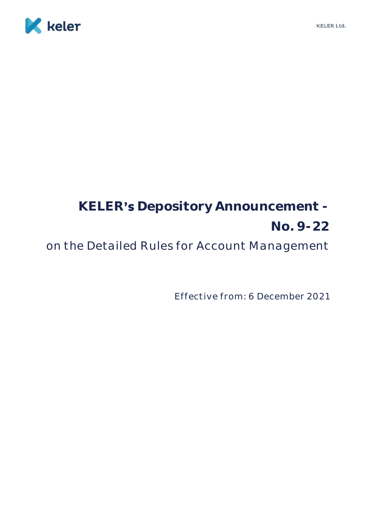

# KELER's Depository Announcement -**No. 9-22**

on the Detailed Rules for Account Management

Effective from: 6 December 2021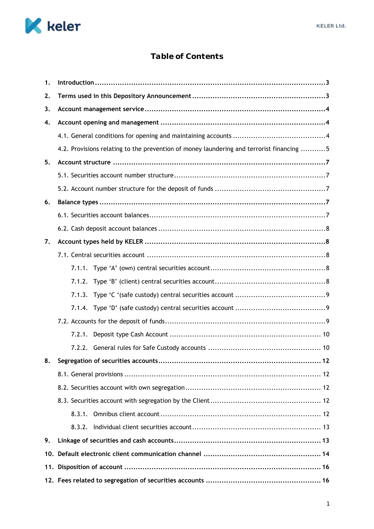

# **Table of Contents**

| 1. |                                                                                          |  |  |
|----|------------------------------------------------------------------------------------------|--|--|
| 2. |                                                                                          |  |  |
| 3. |                                                                                          |  |  |
| 4. |                                                                                          |  |  |
|    |                                                                                          |  |  |
|    | 4.2. Provisions relating to the prevention of money laundering and terrorist financing 5 |  |  |
| 5. |                                                                                          |  |  |
|    |                                                                                          |  |  |
|    |                                                                                          |  |  |
| 6. |                                                                                          |  |  |
|    |                                                                                          |  |  |
|    |                                                                                          |  |  |
| 7. |                                                                                          |  |  |
|    |                                                                                          |  |  |
|    |                                                                                          |  |  |
|    |                                                                                          |  |  |
|    |                                                                                          |  |  |
|    |                                                                                          |  |  |
|    |                                                                                          |  |  |
|    | 7.2.1.                                                                                   |  |  |
|    |                                                                                          |  |  |
| 8. | 12                                                                                       |  |  |
|    |                                                                                          |  |  |
|    |                                                                                          |  |  |
|    |                                                                                          |  |  |
|    |                                                                                          |  |  |
|    |                                                                                          |  |  |
| 9. |                                                                                          |  |  |
|    |                                                                                          |  |  |
|    |                                                                                          |  |  |
|    |                                                                                          |  |  |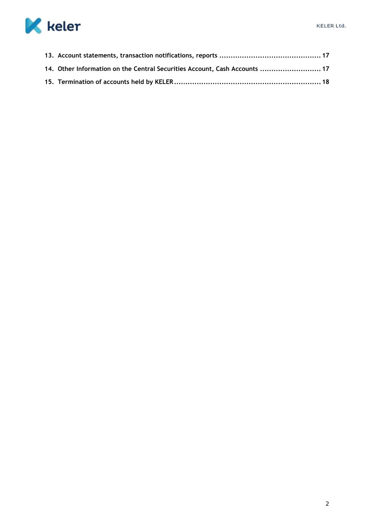

| 17. Other Information on the Central Securities Account, Cash Accounts  17 |  |
|----------------------------------------------------------------------------|--|
|                                                                            |  |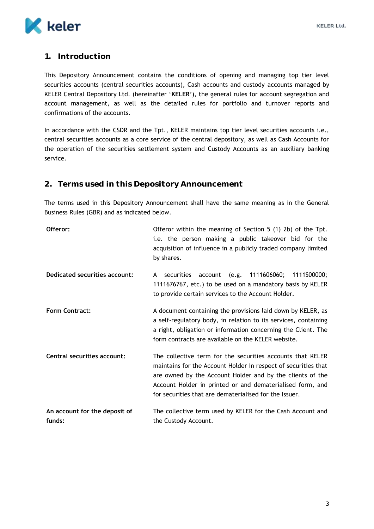

# <span id="page-3-0"></span>**1. Introduction**

This Depository Announcement contains the conditions of opening and managing top tier level securities accounts (central securities accounts), Cash accounts and custody accounts managed by KELER Central Depository Ltd. (hereinafter '**KELER**'), the general rules for account segregation and account management, as well as the detailed rules for portfolio and turnover reports and confirmations of the accounts.

In accordance with the CSDR and the Tpt., KELER maintains top tier level securities accounts i.e., central securities accounts as a core service of the central depository, as well as Cash Accounts for the operation of the securities settlement system and Custody Accounts as an auxiliary banking service.

# <span id="page-3-1"></span>**2. Terms used in this Depository Announcement**

The terms used in this Depository Announcement shall have the same meaning as in the General Business Rules (GBR) and as indicated below.

| Offeror:                                | Offeror within the meaning of Section 5 (1) 2b) of the Tpt.<br>i.e. the person making a public takeover bid for the<br>acquisition of influence in a publicly traded company limited<br>by shares.                                                                                                               |
|-----------------------------------------|------------------------------------------------------------------------------------------------------------------------------------------------------------------------------------------------------------------------------------------------------------------------------------------------------------------|
| Dedicated securities account:           | account (e.g. 1111606060; 1111500000;<br>securities<br>A<br>1111676767, etc.) to be used on a mandatory basis by KELER<br>to provide certain services to the Account Holder.                                                                                                                                     |
| <b>Form Contract:</b>                   | A document containing the provisions laid down by KELER, as<br>a self-regulatory body, in relation to its services, containing<br>a right, obligation or information concerning the Client. The<br>form contracts are available on the KELER website.                                                            |
| Central securities account:             | The collective term for the securities accounts that KELER<br>maintains for the Account Holder in respect of securities that<br>are owned by the Account Holder and by the clients of the<br>Account Holder in printed or and dematerialised form, and<br>for securities that are dematerialised for the Issuer. |
| An account for the deposit of<br>funds: | The collective term used by KELER for the Cash Account and<br>the Custody Account.                                                                                                                                                                                                                               |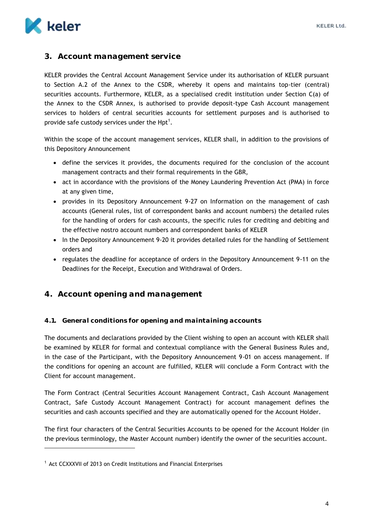

# <span id="page-4-0"></span>**3. Account management service**

KELER provides the Central Account Management Service under its authorisation of KELER pursuant to Section A.2 of the Annex to the CSDR, whereby it opens and maintains top-tier (central) securities accounts. Furthermore, KELER, as a specialised credit institution under Section C(a) of the Annex to the CSDR Annex, is authorised to provide deposit-type Cash Account management services to holders of central securities accounts for settlement purposes and is authorised to provide safe custody services under the Hpt<sup>1</sup>.

Within the scope of the account management services, KELER shall, in addition to the provisions of this Depository Announcement

- define the services it provides, the documents required for the conclusion of the account management contracts and their formal requirements in the GBR,
- act in accordance with the provisions of the Money Laundering Prevention Act (PMA) in force at any given time,
- provides in its Depository Announcement 9-27 on Information on the management of cash accounts (General rules, list of correspondent banks and account numbers) the detailed rules for the handling of orders for cash accounts, the specific rules for crediting and debiting and the effective nostro account numbers and correspondent banks of KELER
- In the Depository Announcement 9-20 it provides detailed rules for the handling of Settlement orders and
- regulates the deadline for acceptance of orders in the Depository Announcement 9-11 on the Deadlines for the Receipt, Execution and Withdrawal of Orders.

# <span id="page-4-1"></span>**4. Account opening and management**

#### <span id="page-4-2"></span>**4.1. General conditions for opening and maintaining accounts**

The documents and declarations provided by the Client wishing to open an account with KELER shall be examined by KELER for formal and contextual compliance with the General Business Rules and, in the case of the Participant, with the Depository Announcement 9-01 on access management. If the conditions for opening an account are fulfilled, KELER will conclude a Form Contract with the Client for account management.

The Form Contract (Central Securities Account Management Contract, Cash Account Management Contract, Safe Custody Account Management Contract) for account management defines the securities and cash accounts specified and they are automatically opened for the Account Holder.

The first four characters of the Central Securities Accounts to be opened for the Account Holder (in the previous terminology, the Master Account number) identify the owner of the securities account.

-

<sup>1</sup> Act CCXXXVII of 2013 on Credit Institutions and Financial Enterprises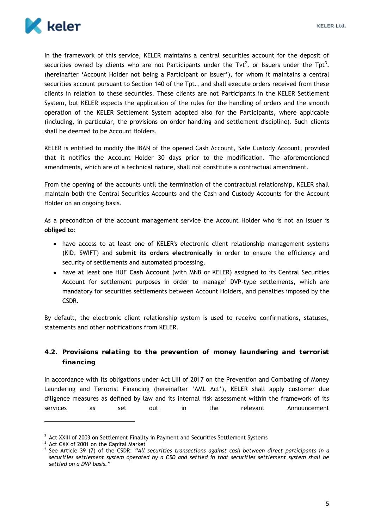

In the framework of this service, KELER maintains a central securities account for the deposit of securities owned by clients who are not Participants under the Tvt<sup>2</sup>. or Issuers under the Tpt<sup>3</sup>. (hereinafter 'Account Holder not being a Participant or Issuer'), for whom it maintains a central securities account pursuant to Section 140 of the Tpt., and shall execute orders received from these clients in relation to these securities. These clients are not Participants in the KELER Settlement System, but KELER expects the application of the rules for the handling of orders and the smooth operation of the KELER Settlement System adopted also for the Participants, where applicable (including, in particular, the provisions on order handling and settlement discipline). Such clients shall be deemed to be Account Holders.

KELER is entitled to modify the IBAN of the opened Cash Account, Safe Custody Account, provided that it notifies the Account Holder 30 days prior to the modification. The aforementioned amendments, which are of a technical nature, shall not constitute a contractual amendment.

From the opening of the accounts until the termination of the contractual relationship, KELER shall maintain both the Central Securities Accounts and the Cash and Custody Accounts for the Account Holder on an ongoing basis.

As a preconditon of the account management service the Account Holder who is not an Issuer is **obliged to**:

- have access to at least one of KELER's electronic client relationship management systems (KID, SWIFT) and **submit its orders electronically** in order to ensure the efficiency and security of settlements and automated processing,
- have at least one HUF **Cash Account** (with MNB or KELER) assigned to its Central Securities Account for settlement purposes in order to manage<sup>4</sup> DVP-type settlements, which are mandatory for securities settlements between Account Holders, and penalties imposed by the CSDR.

By default, the electronic client relationship system is used to receive confirmations, statuses, statements and other notifications from KELER.

<span id="page-5-0"></span>**4.2. Provisions relating to the prevention of money laundering and terrorist financing**

In accordance with its obligations under Act LIII of 2017 on the Prevention and Combating of Money Laundering and Terrorist Financing (hereinafter 'AML Act'), KELER shall apply customer due diligence measures as defined by law and its internal risk assessment within the framework of its services as set out in the relevant Announcement

 $\overline{a}$ 

 $<sup>2</sup>$  Act XXIII of 2003 on Settlement Finality in Payment and Securities Settlement Systems</sup>

<sup>&</sup>lt;sup>3</sup> Act CXX of 2001 on the Capital Market

<sup>4</sup> See Article 39 (7) of the CSDR: *"All securities transactions against cash between direct participants in a securities settlement system operated by a CSD and settled in that securities settlement system shall be settled on a DVP basis."*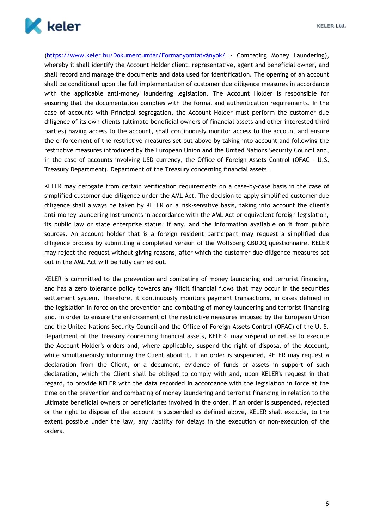

(<https://www.keler.hu/Dokumentumtár/Formanyomtatványok/> - Combating Money Laundering), whereby it shall identify the Account Holder client, representative, agent and beneficial owner, and shall record and manage the documents and data used for identification. The opening of an account shall be conditional upon the full implementation of customer due diligence measures in accordance with the applicable anti-money laundering legislation. The Account Holder is responsible for ensuring that the documentation complies with the formal and authentication requirements. In the case of accounts with Principal segregation, the Account Holder must perform the customer due diligence of its own clients (ultimate beneficial owners of financial assets and other interested third parties) having access to the account, shall continuously monitor access to the account and ensure the enforcement of the restrictive measures set out above by taking into account and following the restrictive measures introduced by the European Union and the United Nations Security Council and, in the case of accounts involving USD currency, the Office of Foreign Assets Control (OFAC - U.S. Treasury Department). Department of the Treasury concerning financial assets.

KELER may derogate from certain verification requirements on a case-by-case basis in the case of simplified customer due diligence under the AML Act. The decision to apply simplified customer due diligence shall always be taken by KELER on a risk-sensitive basis, taking into account the client's anti-money laundering instruments in accordance with the AML Act or equivalent foreign legislation, its public law or state enterprise status, if any, and the information available on it from public sources. An account holder that is a foreign resident participant may request a simplified due diligence process by submitting a completed version of the Wolfsberg CBDDQ questionnaire. KELER may reject the request without giving reasons, after which the customer due diligence measures set out in the AML Act will be fully carried out.

KELER is committed to the prevention and combating of money laundering and terrorist financing, and has a zero tolerance policy towards any illicit financial flows that may occur in the securities settlement system. Therefore, it continuously monitors payment transactions, in cases defined in the legislation in force on the prevention and combating of money laundering and terrorist financing and, in order to ensure the enforcement of the restrictive measures imposed by the European Union and the United Nations Security Council and the Office of Foreign Assets Control (OFAC) of the U. S. Department of the Treasury concerning financial assets, KELER may suspend or refuse to execute the Account Holder's orders and, where applicable, suspend the right of disposal of the Account, while simultaneously informing the Client about it. If an order is suspended, KELER may request a declaration from the Client, or a document, evidence of funds or assets in support of such declaration, which the Client shall be obliged to comply with and, upon KELER's request in that regard, to provide KELER with the data recorded in accordance with the legislation in force at the time on the prevention and combating of money laundering and terrorist financing in relation to the ultimate beneficial owners or beneficiaries involved in the order. If an order is suspended, rejected or the right to dispose of the account is suspended as defined above, KELER shall exclude, to the extent possible under the law, any liability for delays in the execution or non-execution of the orders.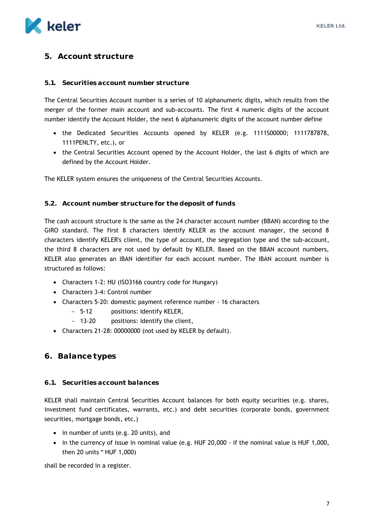

# <span id="page-7-0"></span>**5. Account structure**

#### <span id="page-7-1"></span>**5.1. Securities account number structure**

The Central Securities Account number is a series of 10 alphanumeric digits, which results from the merger of the former main account and sub-accounts. The first 4 numeric digits of the account number identify the Account Holder, the next 6 alphanumeric digits of the account number define

- the Dedicated Securities Accounts opened by KELER (e.g. 1111S00000; 1111787878, 1111PENLTY, etc.), or
- the Central Securities Account opened by the Account Holder, the last 6 digits of which are defined by the Account Holder.

The KELER system ensures the uniqueness of the Central Securities Accounts.

#### <span id="page-7-2"></span>**5.2. Account number structure for the deposit of funds**

The cash account structure is the same as the 24 character account number (BBAN) according to the GIRO standard. The first 8 characters identify KELER as the account manager, the second 8 characters identify KELER's client, the type of account, the segregation type and the sub-account, the third 8 characters are not used by default by KELER. Based on the BBAN account numbers, KELER also generates an IBAN identifier for each account number. The IBAN account number is structured as follows:

- Characters 1-2: HU (ISO3166 country code for Hungary)
- Characters 3-4: Control number
- Characters 5-20: domestic payment reference number 16 characters
	- 5-12 positions: Identify KELER,
	- 13-20 positions: Identify the client,
- Characters 21-28: 00000000 (not used by KELER by default).

#### <span id="page-7-3"></span>**6. Balance types**

#### <span id="page-7-4"></span>**6.1. Securities account balances**

KELER shall maintain Central Securities Account balances for both equity securities (e.g. shares, investment fund certificates, warrants, etc.) and debt securities (corporate bonds, government securities, mortgage bonds, etc.)

- in number of units (e.g. 20 units), and
- in the currency of issue in nominal value (e.g. HUF 20,000 if the nominal value is HUF 1,000, then 20 units \* HUF 1,000)

shall be recorded in a register.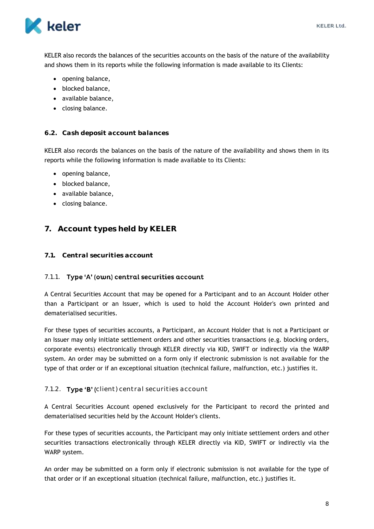

KELER also records the balances of the securities accounts on the basis of the nature of the availability and shows them in its reports while the following information is made available to its Clients:

- opening balance,
- blocked balance,
- available balance,
- closing balance.

## <span id="page-8-0"></span>**6.2. Cash deposit account balances**

KELER also records the balances on the basis of the nature of the availability and shows them in its reports while the following information is made available to its Clients:

- opening balance,
- blocked balance,
- available balance,
- closing balance.

# <span id="page-8-1"></span>**7. Account types held by KELER**

# <span id="page-8-2"></span>**7.1. Central securities account**

# <span id="page-8-3"></span>7.1.1. Type 'A' (own) central securities account

A Central Securities Account that may be opened for a Participant and to an Account Holder other than a Participant or an Issuer, which is used to hold the Account Holder's own printed and dematerialised securities.

For these types of securities accounts, a Participant, an Account Holder that is not a Participant or an Issuer may only initiate settlement orders and other securities transactions (e.g. blocking orders, corporate events) electronically through KELER directly via KID, SWIFT or indirectly via the WARP system. An order may be submitted on a form only if electronic submission is not available for the type of that order or if an exceptional situation (technical failure, malfunction, etc.) justifies it.

# <span id="page-8-4"></span>7.1.2. Type 'B' (client) central securities account

A Central Securities Account opened exclusively for the Participant to record the printed and dematerialised securities held by the Account Holder's clients.

For these types of securities accounts, the Participant may only initiate settlement orders and other securities transactions electronically through KELER directly via KID, SWIFT or indirectly via the WARP system.

An order may be submitted on a form only if electronic submission is not available for the type of that order or if an exceptional situation (technical failure, malfunction, etc.) justifies it.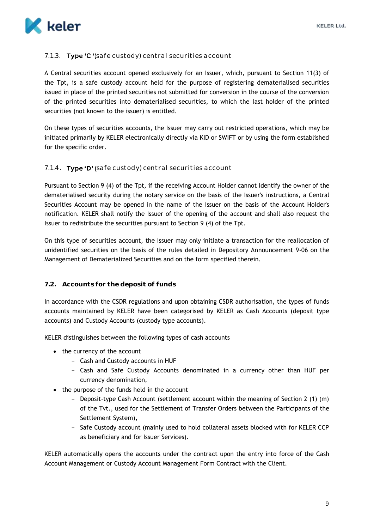

# <span id="page-9-0"></span>7.1.3. Type  $C'$  (safe custody) central securities account

A Central securities account opened exclusively for an Issuer, which, pursuant to Section 11(3) of the Tpt, is a safe custody account held for the purpose of registering dematerialised securities issued in place of the printed securities not submitted for conversion in the course of the conversion of the printed securities into dematerialised securities, to which the last holder of the printed securities (not known to the issuer) is entitled.

On these types of securities accounts, the Issuer may carry out restricted operations, which may be initiated primarily by KELER electronically directly via KID or SWIFT or by using the form established for the specific order.

# <span id="page-9-1"></span>7.1.4. Type 'D' (safe custody) central securities account

Pursuant to Section 9 (4) of the Tpt, if the receiving Account Holder cannot identify the owner of the dematerialised security during the notary service on the basis of the Issuer's instructions, a Central Securities Account may be opened in the name of the Issuer on the basis of the Account Holder's notification. KELER shall notify the Issuer of the opening of the account and shall also request the Issuer to redistribute the securities pursuant to Section 9 (4) of the Tpt.

On this type of securities account, the Issuer may only initiate a transaction for the reallocation of unidentified securities on the basis of the rules detailed in Depository Announcement 9-06 on the Management of Dematerialized Securities and on the form specified therein.

# <span id="page-9-2"></span>**7.2. Accounts for the deposit of funds**

In accordance with the CSDR regulations and upon obtaining CSDR authorisation, the types of funds accounts maintained by KELER have been categorised by KELER as Cash Accounts (deposit type accounts) and Custody Accounts (custody type accounts).

KELER distinguishes between the following types of cash accounts

- the currency of the account
	- Cash and Custody accounts in HUF
	- Cash and Safe Custody Accounts denominated in a currency other than HUF per currency denomination,
- the purpose of the funds held in the account
	- Deposit-type Cash Account (settlement account within the meaning of Section 2 (1) (m) of the Tvt., used for the Settlement of Transfer Orders between the Participants of the Settlement System),
	- Safe Custody account (mainly used to hold collateral assets blocked with for KELER CCP as beneficiary and for Issuer Services).

KELER automatically opens the accounts under the contract upon the entry into force of the Cash Account Management or Custody Account Management Form Contract with the Client.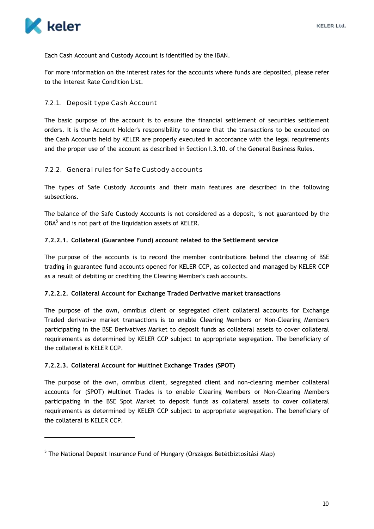

 $\overline{a}$ 

Each Cash Account and Custody Account is identified by the IBAN.

For more information on the interest rates for the accounts where funds are deposited, please refer to the Interest Rate Condition List.

# <span id="page-10-0"></span>7.2.1. Deposit type Cash Account

The basic purpose of the account is to ensure the financial settlement of securities settlement orders. It is the Account Holder's responsibility to ensure that the transactions to be executed on the Cash Accounts held by KELER are properly executed in accordance with the legal requirements and the proper use of the account as described in Section I.3.10. of the General Business Rules.

# <span id="page-10-1"></span>7.2.2. General rules for Safe Custody accounts

The types of Safe Custody Accounts and their main features are described in the following subsections.

The balance of the Safe Custody Accounts is not considered as a deposit, is not guaranteed by the  $OBA<sup>5</sup>$  and is not part of the liquidation assets of KELER.

# **7.2.2.1. Collateral (Guarantee Fund) account related to the Settlement service**

The purpose of the accounts is to record the member contributions behind the clearing of BSE trading in guarantee fund accounts opened for KELER CCP, as collected and managed by KELER CCP as a result of debiting or crediting the Clearing Member's cash accounts.

# **7.2.2.2. Collateral Account for Exchange Traded Derivative market transactions**

The purpose of the own, omnibus client or segregated client collateral accounts for Exchange Traded derivative market transactions is to enable Clearing Members or Non-Clearing Members participating in the BSE Derivatives Market to deposit funds as collateral assets to cover collateral requirements as determined by KELER CCP subject to appropriate segregation. The beneficiary of the collateral is KELER CCP.

# **7.2.2.3. Collateral Account for Multinet Exchange Trades (SPOT)**

The purpose of the own, omnibus client, segregated client and non-clearing member collateral accounts for (SPOT) Multinet Trades is to enable Clearing Members or Non-Clearing Members participating in the BSE Spot Market to deposit funds as collateral assets to cover collateral requirements as determined by KELER CCP subject to appropriate segregation. The beneficiary of the collateral is KELER CCP.

<sup>&</sup>lt;sup>5</sup> The National Deposit Insurance Fund of Hungary (Országos Betétbiztosítási Alap)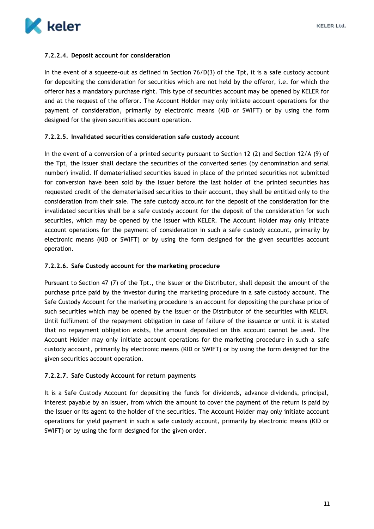

## **7.2.2.4. Deposit account for consideration**

In the event of a squeeze-out as defined in Section 76/D(3) of the Tpt, it is a safe custody account for depositing the consideration for securities which are not held by the offeror, i.e. for which the offeror has a mandatory purchase right. This type of securities account may be opened by KELER for and at the request of the offeror. The Account Holder may only initiate account operations for the payment of consideration, primarily by electronic means (KID or SWIFT) or by using the form designed for the given securities account operation.

## **7.2.2.5. Invalidated securities consideration safe custody account**

In the event of a conversion of a printed security pursuant to Section 12 (2) and Section 12/A (9) of the Tpt, the Issuer shall declare the securities of the converted series (by denomination and serial number) invalid. If dematerialised securities issued in place of the printed securities not submitted for conversion have been sold by the Issuer before the last holder of the printed securities has requested credit of the dematerialised securities to their account, they shall be entitled only to the consideration from their sale. The safe custody account for the deposit of the consideration for the invalidated securities shall be a safe custody account for the deposit of the consideration for such securities, which may be opened by the Issuer with KELER. The Account Holder may only initiate account operations for the payment of consideration in such a safe custody account, primarily by electronic means (KID or SWIFT) or by using the form designed for the given securities account operation.

#### **7.2.2.6. Safe Custody account for the marketing procedure**

Pursuant to Section 47 (7) of the Tpt., the Issuer or the Distributor, shall deposit the amount of the purchase price paid by the investor during the marketing procedure in a safe custody account. The Safe Custody Account for the marketing procedure is an account for depositing the purchase price of such securities which may be opened by the Issuer or the Distributor of the securities with KELER. Until fulfilment of the repayment obligation in case of failure of the issuance or until it is stated that no repayment obligation exists, the amount deposited on this account cannot be used. The Account Holder may only initiate account operations for the marketing procedure in such a safe custody account, primarily by electronic means (KID or SWIFT) or by using the form designed for the given securities account operation.

#### **7.2.2.7. Safe Custody Account for return payments**

It is a Safe Custody Account for depositing the funds for dividends, advance dividends, principal, interest payable by an Issuer, from which the amount to cover the payment of the return is paid by the Issuer or its agent to the holder of the securities. The Account Holder may only initiate account operations for yield payment in such a safe custody account, primarily by electronic means (KID or SWIFT) or by using the form designed for the given order.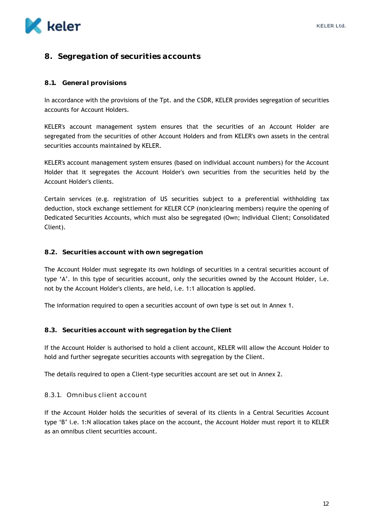

# <span id="page-12-0"></span>**8. Segregation of securities accounts**

#### <span id="page-12-1"></span>**8.1. General provisions**

In accordance with the provisions of the Tpt. and the CSDR, KELER provides segregation of securities accounts for Account Holders.

KELER's account management system ensures that the securities of an Account Holder are segregated from the securities of other Account Holders and from KELER's own assets in the central securities accounts maintained by KELER.

KELER's account management system ensures (based on individual account numbers) for the Account Holder that it segregates the Account Holder's own securities from the securities held by the Account Holder's clients.

Certain services (e.g. registration of US securities subject to a preferential withholding tax deduction, stock exchange settlement for KELER CCP (non)clearing members) require the opening of Dedicated Securities Accounts, which must also be segregated (Own; Individual Client; Consolidated Client).

#### <span id="page-12-2"></span>**8.2. Securities account with own segregation**

The Account Holder must segregate its own holdings of securities in a central securities account of type 'A'. In this type of securities account, only the securities owned by the Account Holder, i.e. not by the Account Holder's clients, are held, i.e. 1:1 allocation is applied.

The information required to open a securities account of own type is set out in Annex 1.

#### <span id="page-12-3"></span>**8.3. Securities account with segregation by the Client**

If the Account Holder is authorised to hold a client account, KELER will allow the Account Holder to hold and further segregate securities accounts with segregation by the Client.

The details required to open a Client-type securities account are set out in Annex 2.

#### <span id="page-12-4"></span>8.3.1. Omnibus client account

If the Account Holder holds the securities of several of its clients in a Central Securities Account type 'B' i.e. 1:N allocation takes place on the account, the Account Holder must report it to KELER as an omnibus client securities account.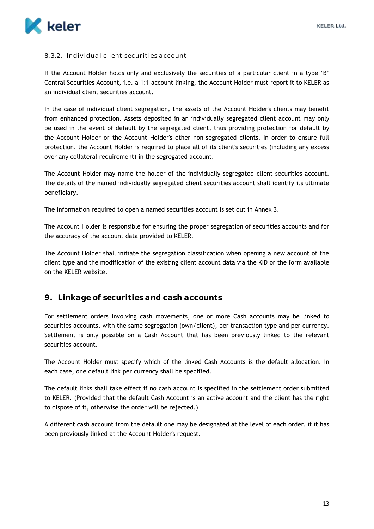

## <span id="page-13-0"></span>8.3.2. Individual client securities account

If the Account Holder holds only and exclusively the securities of a particular client in a type 'B' Central Securities Account, i.e. a 1:1 account linking, the Account Holder must report it to KELER as an individual client securities account.

In the case of individual client segregation, the assets of the Account Holder's clients may benefit from enhanced protection. Assets deposited in an individually segregated client account may only be used in the event of default by the segregated client, thus providing protection for default by the Account Holder or the Account Holder's other non-segregated clients. In order to ensure full protection, the Account Holder is required to place all of its client's securities (including any excess over any collateral requirement) in the segregated account.

The Account Holder may name the holder of the individually segregated client securities account. The details of the named individually segregated client securities account shall identify its ultimate beneficiary.

The information required to open a named securities account is set out in Annex 3.

The Account Holder is responsible for ensuring the proper segregation of securities accounts and for the accuracy of the account data provided to KELER.

The Account Holder shall initiate the segregation classification when opening a new account of the client type and the modification of the existing client account data via the KID or the form available on the KELER website.

# <span id="page-13-1"></span>**9. Linkage of securities and cash accounts**

For settlement orders involving cash movements, one or more Cash accounts may be linked to securities accounts, with the same segregation (own/client), per transaction type and per currency. Settlement is only possible on a Cash Account that has been previously linked to the relevant securities account.

The Account Holder must specify which of the linked Cash Accounts is the default allocation. In each case, one default link per currency shall be specified.

The default links shall take effect if no cash account is specified in the settlement order submitted to KELER. (Provided that the default Cash Account is an active account and the client has the right to dispose of it, otherwise the order will be rejected.)

A different cash account from the default one may be designated at the level of each order, if it has been previously linked at the Account Holder's request.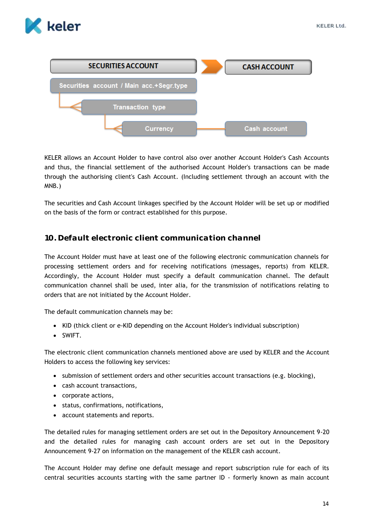



KELER allows an Account Holder to have control also over another Account Holder's Cash Accounts and thus, the financial settlement of the authorised Account Holder's transactions can be made through the authorising client's Cash Account. (Including settlement through an account with the MNB.)

The securities and Cash Account linkages specified by the Account Holder will be set up or modified on the basis of the form or contract established for this purpose.

# <span id="page-14-0"></span>**10. Default electronic client communication channel**

The Account Holder must have at least one of the following electronic communication channels for processing settlement orders and for receiving notifications (messages, reports) from KELER. Accordingly, the Account Holder must specify a default communication channel. The default communication channel shall be used, inter alia, for the transmission of notifications relating to orders that are not initiated by the Account Holder.

The default communication channels may be:

- KID (thick client or e-KID depending on the Account Holder's individual subscription)
- SWIFT.

The electronic client communication channels mentioned above are used by KELER and the Account Holders to access the following key services:

- submission of settlement orders and other securities account transactions (e.g. blocking),
- cash account transactions,
- corporate actions,
- status, confirmations, notifications,
- account statements and reports.

The detailed rules for managing settlement orders are set out in the Depository Announcement 9-20 and the detailed rules for managing cash account orders are set out in the Depository Announcement 9-27 on information on the management of the KELER cash account.

The Account Holder may define one default message and report subscription rule for each of its central securities accounts starting with the same partner ID - formerly known as main account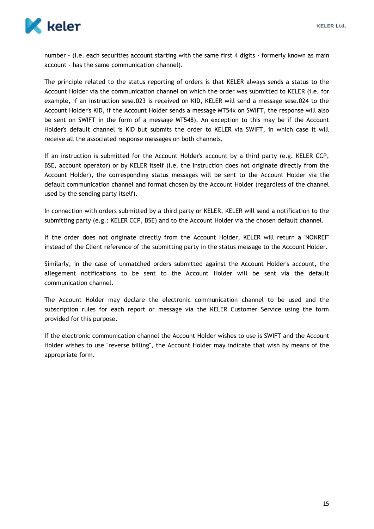

number - (i.e. each securities account starting with the same first 4 digits - formerly known as main account - has the same communication channel).

The principle related to the status reporting of orders is that KELER always sends a status to the Account Holder via the communication channel on which the order was submitted to KELER (i.e. for example, if an instruction sese.023 is received on KID, KELER will send a message sese.024 to the Account Holder's KID, if the Account Holder sends a message MT54x on SWIFT, the response will also be sent on SWIFT in the form of a message MT548). An exception to this may be if the Account Holder's default channel is KID but submits the order to KELER via SWIFT, in which case it will receive all the associated response messages on both channels.

If an instruction is submitted for the Account Holder's account by a third party (e.g. KELER CCP, BSE, account operator) or by KELER itself (i.e. the instruction does not originate directly from the Account Holder), the corresponding status messages will be sent to the Account Holder via the default communication channel and format chosen by the Account Holder (regardless of the channel used by the sending party itself).

In connection with orders submitted by a third party or KELER, KELER will send a notification to the submitting party (e.g.: KELER CCP, BSE) and to the Account Holder via the chosen default channel.

If the order does not originate directly from the Account Holder, KELER will return a 'NONREF' instead of the Client reference of the submitting party in the status message to the Account Holder.

Similarly, in the case of unmatched orders submitted against the Account Holder's account, the allegement notifications to be sent to the Account Holder will be sent via the default communication channel.

The Account Holder may declare the electronic communication channel to be used and the subscription rules for each report or message via the KELER Customer Service using the form provided for this purpose.

If the electronic communication channel the Account Holder wishes to use is SWIFT and the Account Holder wishes to use "reverse billing", the Account Holder may indicate that wish by means of the appropriate form.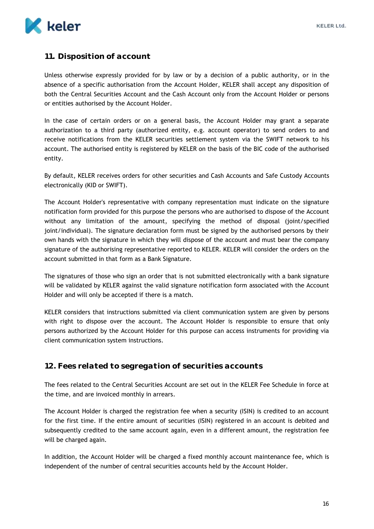

# <span id="page-16-0"></span>**11. Disposition of account**

Unless otherwise expressly provided for by law or by a decision of a public authority, or in the absence of a specific authorisation from the Account Holder, KELER shall accept any disposition of both the Central Securities Account and the Cash Account only from the Account Holder or persons or entities authorised by the Account Holder.

In the case of certain orders or on a general basis, the Account Holder may grant a separate authorization to a third party (authorized entity, e.g. account operator) to send orders to and receive notifications from the KELER securities settlement system via the SWIFT network to his account. The authorised entity is registered by KELER on the basis of the BIC code of the authorised entity.

By default, KELER receives orders for other securities and Cash Accounts and Safe Custody Accounts electronically (KID or SWIFT).

The Account Holder's representative with company representation must indicate on the signature notification form provided for this purpose the persons who are authorised to dispose of the Account without any limitation of the amount, specifying the method of disposal (joint/specified joint/individual). The signature declaration form must be signed by the authorised persons by their own hands with the signature in which they will dispose of the account and must bear the company signature of the authorising representative reported to KELER. KELER will consider the orders on the account submitted in that form as a Bank Signature.

The signatures of those who sign an order that is not submitted electronically with a bank signature will be validated by KELER against the valid signature notification form associated with the Account Holder and will only be accepted if there is a match.

KELER considers that instructions submitted via client communication system are given by persons with right to dispose over the account. The Account Holder is responsible to ensure that only persons authorized by the Account Holder for this purpose can access instruments for providing via client communication system instructions.

# <span id="page-16-1"></span>**12. Fees related to segregation of securities accounts**

The fees related to the Central Securities Account are set out in the KELER Fee Schedule in force at the time, and are invoiced monthly in arrears.

The Account Holder is charged the registration fee when a security (ISIN) is credited to an account for the first time. If the entire amount of securities (ISIN) registered in an account is debited and subsequently credited to the same account again, even in a different amount, the registration fee will be charged again.

In addition, the Account Holder will be charged a fixed monthly account maintenance fee, which is independent of the number of central securities accounts held by the Account Holder.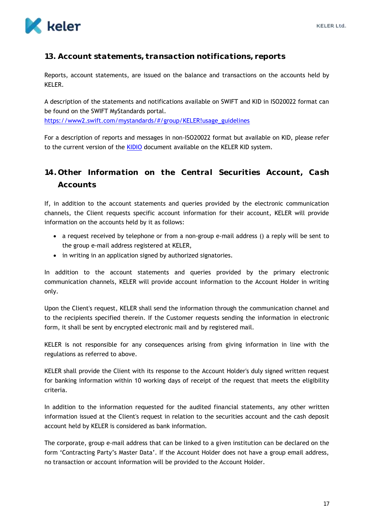

# <span id="page-17-0"></span>**13. Account statements, transaction notifications, reports**

Reports, account statements, are issued on the balance and transactions on the accounts held by KELER.

A description of the statements and notifications available on SWIFT and KID in ISO20022 format can be found on the SWIFT MyStandards portal.

[https://www2.swift.com/mystandards/#/group/KELER!usage\\_guidelines](https://www2.swift.com/mystandards/#/group/KELER!usage_guidelines)

For a description of reports and messages in non-ISO20022 format but available on KID, please refer to the current version of the [KIDIO](https://www.keler.hu/Dokumentumt%C3%A1r/KID%20dokument%C3%A1ci%C3%B3/) document available on the KELER KID system.

# <span id="page-17-1"></span>**14. Other Information on the Central Securities Account, Cash Accounts**

If, in addition to the account statements and queries provided by the electronic communication channels, the Client requests specific account information for their account, KELER will provide information on the accounts held by it as follows:

- a request received by telephone or from a non-group e-mail address () a reply will be sent to the group e-mail address registered at KELER,
- in writing in an application signed by authorized signatories.

In addition to the account statements and queries provided by the primary electronic communication channels, KELER will provide account information to the Account Holder in writing only.

Upon the Client's request, KELER shall send the information through the communication channel and to the recipients specified therein. If the Customer requests sending the information in electronic form, it shall be sent by encrypted electronic mail and by registered mail.

KELER is not responsible for any consequences arising from giving information in line with the regulations as referred to above.

KELER shall provide the Client with its response to the Account Holder's duly signed written request for banking information within 10 working days of receipt of the request that meets the eligibility criteria.

In addition to the information requested for the audited financial statements, any other written information issued at the Client's request in relation to the securities account and the cash deposit account held by KELER is considered as bank information.

The corporate, group e-mail address that can be linked to a given institution can be declared on the form 'Contracting Party's Master Data'. If the Account Holder does not have a group email address, no transaction or account information will be provided to the Account Holder.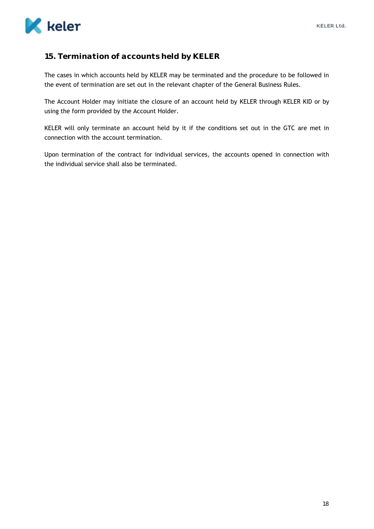

# <span id="page-18-0"></span>**15. Termination of accounts held by KELER**

The cases in which accounts held by KELER may be terminated and the procedure to be followed in the event of termination are set out in the relevant chapter of the General Business Rules.

The Account Holder may initiate the closure of an account held by KELER through KELER KID or by using the form provided by the Account Holder.

KELER will only terminate an account held by it if the conditions set out in the GTC are met in connection with the account termination.

Upon termination of the contract for individual services, the accounts opened in connection with the individual service shall also be terminated.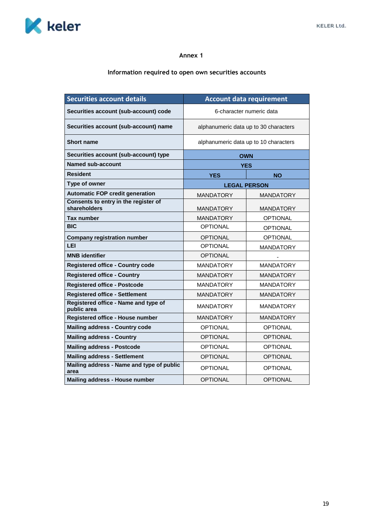

## **Information required to open own securities accounts**

| <b>Securities account details</b>                    |                                       | <b>Account data requirement</b>       |  |
|------------------------------------------------------|---------------------------------------|---------------------------------------|--|
| Securities account (sub-account) code                | 6-character numeric data              |                                       |  |
| Securities account (sub-account) name                | alphanumeric data up to 30 characters |                                       |  |
| <b>Short name</b>                                    |                                       | alphanumeric data up to 10 characters |  |
| Securities account (sub-account) type                | <b>OWN</b>                            |                                       |  |
| <b>Named sub-account</b>                             | <b>YES</b>                            |                                       |  |
| <b>Resident</b>                                      | <b>YES</b>                            | <b>NO</b>                             |  |
| Type of owner                                        | <b>LEGAL PERSON</b>                   |                                       |  |
| <b>Automatic FOP credit generation</b>               | <b>MANDATORY</b>                      | <b>MANDATORY</b>                      |  |
| Consents to entry in the register of<br>shareholders | <b>MANDATORY</b>                      | <b>MANDATORY</b>                      |  |
| <b>Tax number</b>                                    | <b>MANDATORY</b>                      | <b>OPTIONAL</b>                       |  |
| <b>BIC</b>                                           | <b>OPTIONAL</b>                       | <b>OPTIONAL</b>                       |  |
| <b>Company registration number</b>                   | <b>OPTIONAL</b>                       | <b>OPTIONAL</b>                       |  |
| LEI                                                  | <b>OPTIONAL</b>                       | <b>MANDATORY</b>                      |  |
| <b>MNB</b> identifier                                | <b>OPTIONAL</b>                       |                                       |  |
| <b>Registered office - Country code</b>              | <b>MANDATORY</b>                      | <b>MANDATORY</b>                      |  |
| <b>Registered office - Country</b>                   | <b>MANDATORY</b>                      | <b>MANDATORY</b>                      |  |
| <b>Registered office - Postcode</b>                  | <b>MANDATORY</b>                      | <b>MANDATORY</b>                      |  |
| <b>Registered office - Settlement</b>                | <b>MANDATORY</b>                      | <b>MANDATORY</b>                      |  |
| Registered office - Name and type of<br>public area  | <b>MANDATORY</b>                      | <b>MANDATORY</b>                      |  |
| Registered office - House number                     | <b>MANDATORY</b>                      | <b>MANDATORY</b>                      |  |
| <b>Mailing address - Country code</b>                | <b>OPTIONAL</b>                       | <b>OPTIONAL</b>                       |  |
| <b>Mailing address - Country</b>                     | <b>OPTIONAL</b>                       | <b>OPTIONAL</b>                       |  |
| <b>Mailing address - Postcode</b>                    | <b>OPTIONAL</b>                       | <b>OPTIONAL</b>                       |  |
| <b>Mailing address - Settlement</b>                  | <b>OPTIONAL</b>                       | <b>OPTIONAL</b>                       |  |
| Mailing address - Name and type of public<br>area    | <b>OPTIONAL</b>                       | <b>OPTIONAL</b>                       |  |
| Mailing address - House number                       | <b>OPTIONAL</b>                       | <b>OPTIONAL</b>                       |  |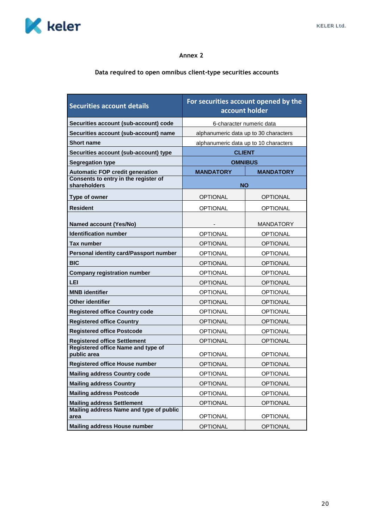

# **Data required to open omnibus client-type securities accounts**

| <b>Securities account details</b>                    | For securities account opened by the<br>account holder |                  |  |
|------------------------------------------------------|--------------------------------------------------------|------------------|--|
| Securities account (sub-account) code                | 6-character numeric data                               |                  |  |
| Securities account (sub-account) name                | alphanumeric data up to 30 characters                  |                  |  |
| <b>Short name</b>                                    | alphanumeric data up to 10 characters                  |                  |  |
| Securities account (sub-account) type                | <b>CLIENT</b>                                          |                  |  |
| <b>Segregation type</b>                              | <b>OMNIBUS</b>                                         |                  |  |
| <b>Automatic FOP credit generation</b>               | <b>MANDATORY</b>                                       | <b>MANDATORY</b> |  |
| Consents to entry in the register of<br>shareholders | <b>NO</b>                                              |                  |  |
| Type of owner                                        | OPTIONAL                                               | <b>OPTIONAL</b>  |  |
| <b>Resident</b>                                      | <b>OPTIONAL</b>                                        | <b>OPTIONAL</b>  |  |
| <b>Named account (Yes/No)</b>                        |                                                        | <b>MANDATORY</b> |  |
| <b>Identification number</b>                         | <b>OPTIONAL</b>                                        | <b>OPTIONAL</b>  |  |
| <b>Tax number</b>                                    | <b>OPTIONAL</b>                                        | <b>OPTIONAL</b>  |  |
| Personal identity card/Passport number               | <b>OPTIONAL</b>                                        | <b>OPTIONAL</b>  |  |
| <b>BIC</b>                                           | <b>OPTIONAL</b>                                        | <b>OPTIONAL</b>  |  |
| <b>Company registration number</b>                   | <b>OPTIONAL</b>                                        | <b>OPTIONAL</b>  |  |
| LEI                                                  | <b>OPTIONAL</b>                                        | <b>OPTIONAL</b>  |  |
| <b>MNB</b> identifier                                | <b>OPTIONAL</b>                                        | <b>OPTIONAL</b>  |  |
| <b>Other identifier</b>                              | <b>OPTIONAL</b>                                        | <b>OPTIONAL</b>  |  |
| <b>Registered office Country code</b>                | <b>OPTIONAL</b>                                        | <b>OPTIONAL</b>  |  |
| <b>Registered office Country</b>                     | <b>OPTIONAL</b>                                        | <b>OPTIONAL</b>  |  |
| <b>Registered office Postcode</b>                    | <b>OPTIONAL</b>                                        | <b>OPTIONAL</b>  |  |
| <b>Registered office Settlement</b>                  | <b>OPTIONAL</b>                                        | <b>OPTIONAL</b>  |  |
| Registered office Name and type of<br>public area    | <b>OPTIONAL</b>                                        | <b>OPTIONAL</b>  |  |
| <b>Registered office House number</b>                | <b>OPTIONAL</b>                                        | <b>OPTIONAL</b>  |  |
| <b>Mailing address Country code</b>                  | <b>OPTIONAL</b>                                        | <b>OPTIONAL</b>  |  |
| <b>Mailing address Country</b>                       | <b>OPTIONAL</b>                                        | <b>OPTIONAL</b>  |  |
| <b>Mailing address Postcode</b>                      | <b>OPTIONAL</b>                                        | <b>OPTIONAL</b>  |  |
| <b>Mailing address Settlement</b>                    | <b>OPTIONAL</b>                                        | <b>OPTIONAL</b>  |  |
| Mailing address Name and type of public<br>area      | <b>OPTIONAL</b>                                        | <b>OPTIONAL</b>  |  |
| <b>Mailing address House number</b>                  | <b>OPTIONAL</b>                                        | <b>OPTIONAL</b>  |  |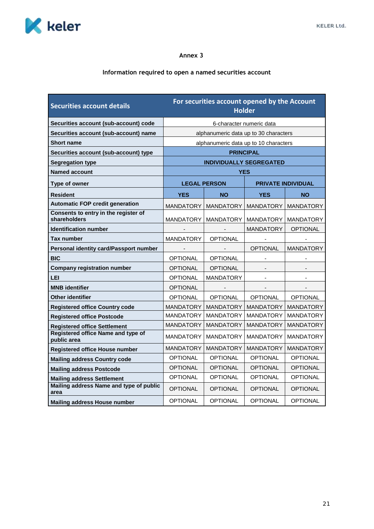

# **Information required to open a named securities account**

| <b>Securities account details</b>                    |                                |                          | For securities account opened by the Account<br><b>Holder</b> |                           |
|------------------------------------------------------|--------------------------------|--------------------------|---------------------------------------------------------------|---------------------------|
| Securities account (sub-account) code                |                                |                          | 6-character numeric data                                      |                           |
| Securities account (sub-account) name                |                                |                          | alphanumeric data up to 30 characters                         |                           |
| <b>Short name</b>                                    |                                |                          | alphanumeric data up to 10 characters                         |                           |
| Securities account (sub-account) type                |                                |                          | <b>PRINCIPAL</b>                                              |                           |
| <b>Segregation type</b>                              | <b>INDIVIDUALLY SEGREGATED</b> |                          |                                                               |                           |
| <b>Named account</b>                                 |                                |                          | YES                                                           |                           |
| Type of owner                                        | <b>LEGAL PERSON</b>            |                          |                                                               | <b>PRIVATE INDIVIDUAL</b> |
| <b>Resident</b>                                      | <b>YES</b>                     | <b>NO</b>                | <b>YES</b>                                                    | <b>NO</b>                 |
| <b>Automatic FOP credit generation</b>               | <b>MANDATORY</b>               | <b>MANDATORY</b>         | <b>MANDATORY</b>                                              | <b>MANDATORY</b>          |
| Consents to entry in the register of<br>shareholders | MANDATORY                      | <b>MANDATORY</b>         | <b>MANDATORY</b>                                              | MANDATORY                 |
| <b>Identification number</b>                         |                                |                          | <b>MANDATORY</b>                                              | <b>OPTIONAL</b>           |
| <b>Tax number</b>                                    | <b>MANDATORY</b>               | <b>OPTIONAL</b>          |                                                               |                           |
| Personal identity card/Passport number               | $\overline{\phantom{a}}$       | $\overline{\phantom{a}}$ | <b>OPTIONAL</b>                                               | <b>MANDATORY</b>          |
| <b>BIC</b>                                           | OPTIONAL                       | <b>OPTIONAL</b>          |                                                               |                           |
| <b>Company registration number</b>                   | <b>OPTIONAL</b>                | <b>OPTIONAL</b>          |                                                               |                           |
| <b>LEI</b>                                           | <b>OPTIONAL</b>                | <b>MANDATORY</b>         | $\blacksquare$                                                | $\blacksquare$            |
| <b>MNB</b> identifier                                | OPTIONAL                       | $\overline{\phantom{a}}$ | $\overline{\phantom{a}}$                                      |                           |
| <b>Other identifier</b>                              | <b>OPTIONAL</b>                | <b>OPTIONAL</b>          | <b>OPTIONAL</b>                                               | <b>OPTIONAL</b>           |
| <b>Registered office Country code</b>                | MANDATORY                      | <b>MANDATORY</b>         | <b>MANDATORY</b>                                              | <b>MANDATORY</b>          |
| <b>Registered office Postcode</b>                    | <b>MANDATORY</b>               | <b>MANDATORY</b>         | <b>MANDATORY</b>                                              | <b>MANDATORY</b>          |
| <b>Registered office Settlement</b>                  | <b>MANDATORY</b>               | <b>MANDATORY</b>         | <b>MANDATORY</b>                                              | <b>MANDATORY</b>          |
| Registered office Name and type of<br>public area    | <b>MANDATORY</b>               | <b>MANDATORY</b>         | <b>MANDATORY</b>                                              | <b>MANDATORY</b>          |
| <b>Registered office House number</b>                | <b>MANDATORY</b>               | <b>MANDATORY</b>         | <b>MANDATORY</b>                                              | <b>MANDATORY</b>          |
| <b>Mailing address Country code</b>                  | <b>OPTIONAL</b>                | <b>OPTIONAL</b>          | <b>OPTIONAL</b>                                               | <b>OPTIONAL</b>           |
| <b>Mailing address Postcode</b>                      | <b>OPTIONAL</b>                | <b>OPTIONAL</b>          | <b>OPTIONAL</b>                                               | <b>OPTIONAL</b>           |
| <b>Mailing address Settlement</b>                    | <b>OPTIONAL</b>                | <b>OPTIONAL</b>          | <b>OPTIONAL</b>                                               | <b>OPTIONAL</b>           |
| Mailing address Name and type of public<br>area      | <b>OPTIONAL</b>                | <b>OPTIONAL</b>          | <b>OPTIONAL</b>                                               | <b>OPTIONAL</b>           |
| Mailing address House number                         | <b>OPTIONAL</b>                | <b>OPTIONAL</b>          | <b>OPTIONAL</b>                                               | <b>OPTIONAL</b>           |